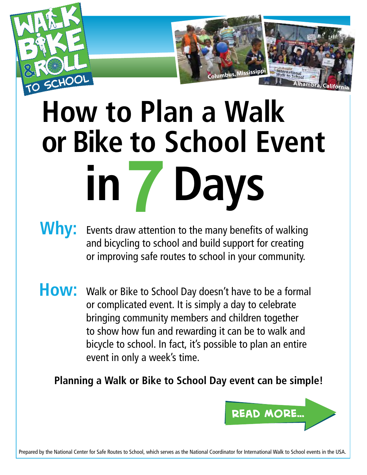

## **How to Plan a Walk or Bike to School Event in Days**

**Columbus, Mississippi**

**Alhambra, California**

- **Why:** Events draw attention to the many benefits of walking and bicycling to school and build support for creating or improving safe routes to school in your community.
- How: Walk or Bike to School Day doesn't have to be a formal or complicated event. It is simply a day to celebrate bringing community members and children together to show how fun and rewarding it can be to walk and bicycle to school. In fact, it's possible to plan an entire event in only a week's time.

**Planning a Walk or Bike to School Day event can be simple!**